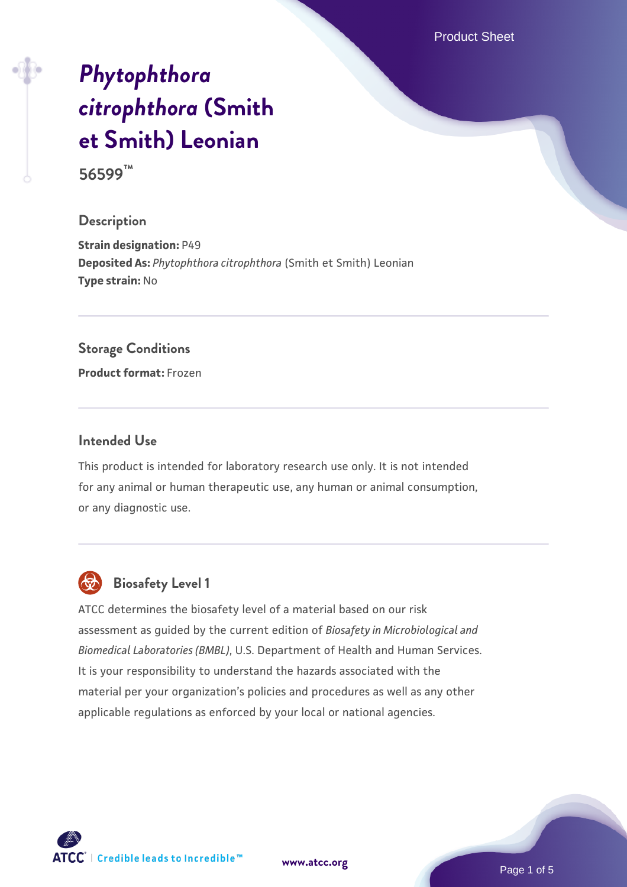Product Sheet

# *[Phytophthora](https://www.atcc.org/products/56599) [citrophthora](https://www.atcc.org/products/56599)* **[\(Smith](https://www.atcc.org/products/56599) [et Smith\) Leonian](https://www.atcc.org/products/56599)**

**56599™**

## **Description**

**Strain designation: P49 Deposited As:** *Phytophthora citrophthora* (Smith et Smith) Leonian **Type strain:** No

#### **Storage Conditions**

**Product format:** Frozen

## **Intended Use**

This product is intended for laboratory research use only. It is not intended for any animal or human therapeutic use, any human or animal consumption, or any diagnostic use.



# **Biosafety Level 1**

ATCC determines the biosafety level of a material based on our risk assessment as guided by the current edition of *Biosafety in Microbiological and Biomedical Laboratories (BMBL)*, U.S. Department of Health and Human Services. It is your responsibility to understand the hazards associated with the material per your organization's policies and procedures as well as any other applicable regulations as enforced by your local or national agencies.

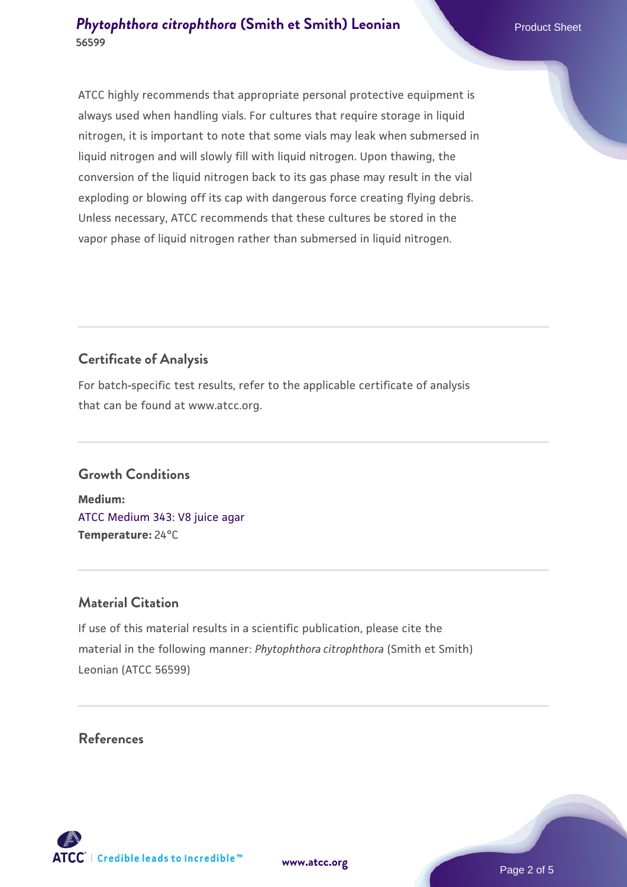# **[Phytophthora citrophthora](https://www.atcc.org/products/56599) [\(Smith et Smith\) Leonian](https://www.atcc.org/products/56599) 56599**

ATCC highly recommends that appropriate personal protective equipment is always used when handling vials. For cultures that require storage in liquid nitrogen, it is important to note that some vials may leak when submersed in liquid nitrogen and will slowly fill with liquid nitrogen. Upon thawing, the conversion of the liquid nitrogen back to its gas phase may result in the vial exploding or blowing off its cap with dangerous force creating flying debris. Unless necessary, ATCC recommends that these cultures be stored in the vapor phase of liquid nitrogen rather than submersed in liquid nitrogen.

# **Certificate of Analysis**

For batch-specific test results, refer to the applicable certificate of analysis that can be found at www.atcc.org.

# **Growth Conditions**

**Medium:**  [ATCC Medium 343: V8 juice agar](https://www.atcc.org/-/media/product-assets/documents/microbial-media-formulations/3/4/3/atcc-medium-0343.pdf?rev=fbf48fa24e664932828269db1822ab12) **Temperature:** 24°C

# **Material Citation**

If use of this material results in a scientific publication, please cite the material in the following manner: *Phytophthora citrophthora* (Smith et Smith) Leonian (ATCC 56599)

# **References**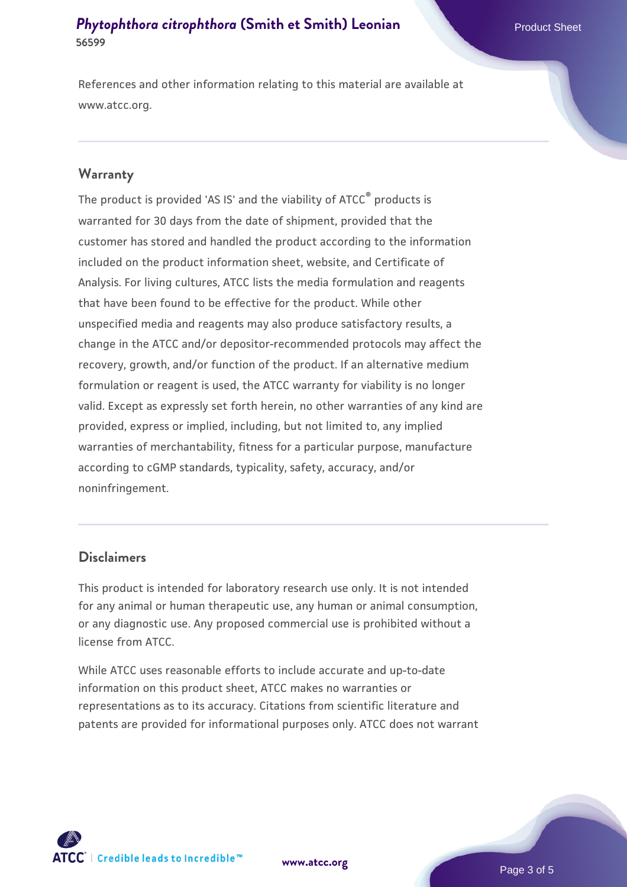# **[Phytophthora citrophthora](https://www.atcc.org/products/56599) [\(Smith et Smith\) Leonian](https://www.atcc.org/products/56599) 56599**

References and other information relating to this material are available at www.atcc.org.

#### **Warranty**

The product is provided 'AS IS' and the viability of ATCC® products is warranted for 30 days from the date of shipment, provided that the customer has stored and handled the product according to the information included on the product information sheet, website, and Certificate of Analysis. For living cultures, ATCC lists the media formulation and reagents that have been found to be effective for the product. While other unspecified media and reagents may also produce satisfactory results, a change in the ATCC and/or depositor-recommended protocols may affect the recovery, growth, and/or function of the product. If an alternative medium formulation or reagent is used, the ATCC warranty for viability is no longer valid. Except as expressly set forth herein, no other warranties of any kind are provided, express or implied, including, but not limited to, any implied warranties of merchantability, fitness for a particular purpose, manufacture according to cGMP standards, typicality, safety, accuracy, and/or noninfringement.

## **Disclaimers**

This product is intended for laboratory research use only. It is not intended for any animal or human therapeutic use, any human or animal consumption, or any diagnostic use. Any proposed commercial use is prohibited without a license from ATCC.

While ATCC uses reasonable efforts to include accurate and up-to-date information on this product sheet, ATCC makes no warranties or representations as to its accuracy. Citations from scientific literature and patents are provided for informational purposes only. ATCC does not warrant

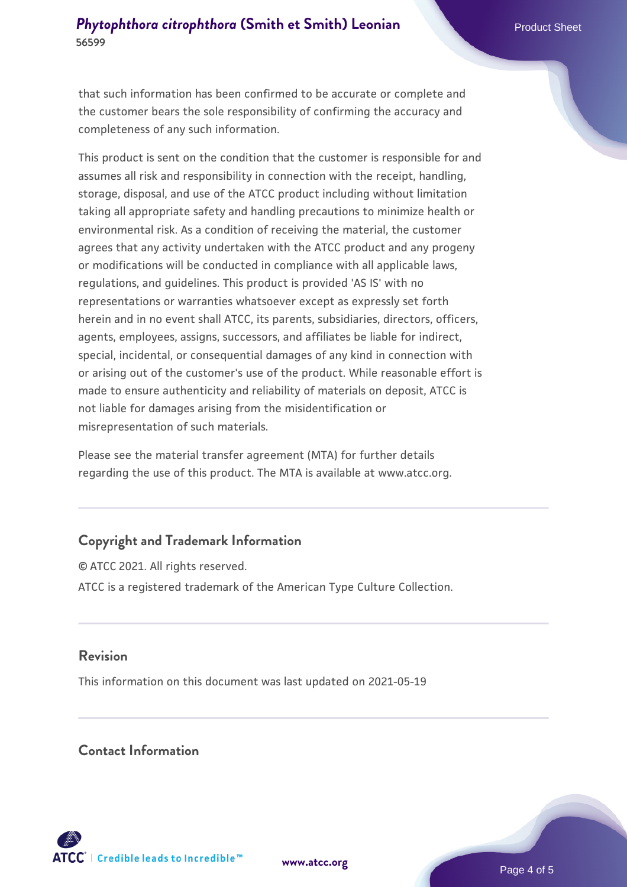# **[Phytophthora citrophthora](https://www.atcc.org/products/56599) [\(Smith et Smith\) Leonian](https://www.atcc.org/products/56599) 56599**

that such information has been confirmed to be accurate or complete and the customer bears the sole responsibility of confirming the accuracy and completeness of any such information.

This product is sent on the condition that the customer is responsible for and assumes all risk and responsibility in connection with the receipt, handling, storage, disposal, and use of the ATCC product including without limitation taking all appropriate safety and handling precautions to minimize health or environmental risk. As a condition of receiving the material, the customer agrees that any activity undertaken with the ATCC product and any progeny or modifications will be conducted in compliance with all applicable laws, regulations, and guidelines. This product is provided 'AS IS' with no representations or warranties whatsoever except as expressly set forth herein and in no event shall ATCC, its parents, subsidiaries, directors, officers, agents, employees, assigns, successors, and affiliates be liable for indirect, special, incidental, or consequential damages of any kind in connection with or arising out of the customer's use of the product. While reasonable effort is made to ensure authenticity and reliability of materials on deposit, ATCC is not liable for damages arising from the misidentification or misrepresentation of such materials.

Please see the material transfer agreement (MTA) for further details regarding the use of this product. The MTA is available at www.atcc.org.

# **Copyright and Trademark Information**

© ATCC 2021. All rights reserved. ATCC is a registered trademark of the American Type Culture Collection.

## **Revision**

This information on this document was last updated on 2021-05-19

# **Contact Information**



**[www.atcc.org](http://www.atcc.org)**

Page 4 of 5